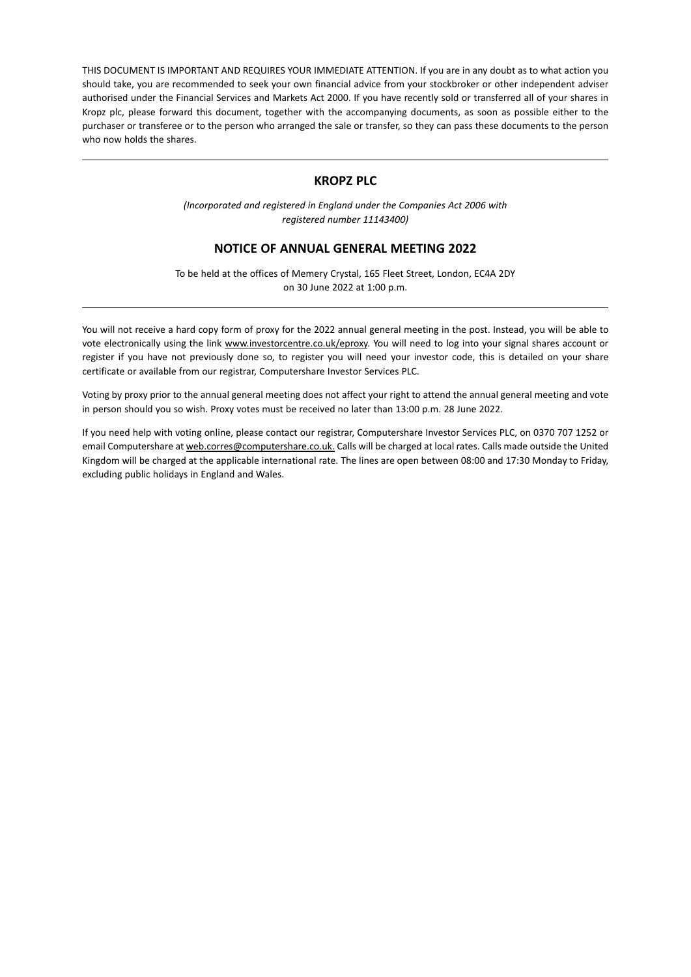THIS DOCUMENT IS IMPORTANT AND REQUIRES YOUR IMMEDIATE ATTENTION. If you are in any doubt as to what action you should take, you are recommended to seek your own financial advice from your stockbroker or other independent adviser authorised under the Financial Services and Markets Act 2000. If you have recently sold or transferred all of your shares in Kropz plc, please forward this document, together with the accompanying documents, as soon as possible either to the purchaser or transferee or to the person who arranged the sale or transfer, so they can pass these documents to the person who now holds the shares.

# **KROPZ PLC**

*(Incorporated and registered in England under the Companies Act 2006 with registered number 11143400)*

## **NOTICE OF ANNUAL GENERAL MEETING 2022**

To be held at the offices of Memery Crystal, 165 Fleet Street, London, EC4A 2DY on 30 June 2022 at 1:00 p.m.

You will not receive a hard copy form of proxy for the 2022 annual general meeting in the post. Instead, you will be able to vote electronically using the link www.investorcentre.co.uk/eproxy. You will need to log into your signal shares account or register if you have not previously done so, to register you will need your investor code, this is detailed on your share certificate or available from our registrar, Computershare Investor Services PLC.

Voting by proxy prior to the annual general meeting does not affect your right to attend the annual general meeting and vote in person should you so wish. Proxy votes must be received no later than 13:00 p.m. 28 June 2022.

If you need help with voting online, please contact our registrar, Computershare Investor Services PLC, on 0370 707 1252 or email Computershare at web.corres@computershare.co.uk. Calls will be charged at local rates. Calls made outside the United Kingdom will be charged at the applicable international rate. The lines are open between 08:00 and 17:30 Monday to Friday, excluding public holidays in England and Wales.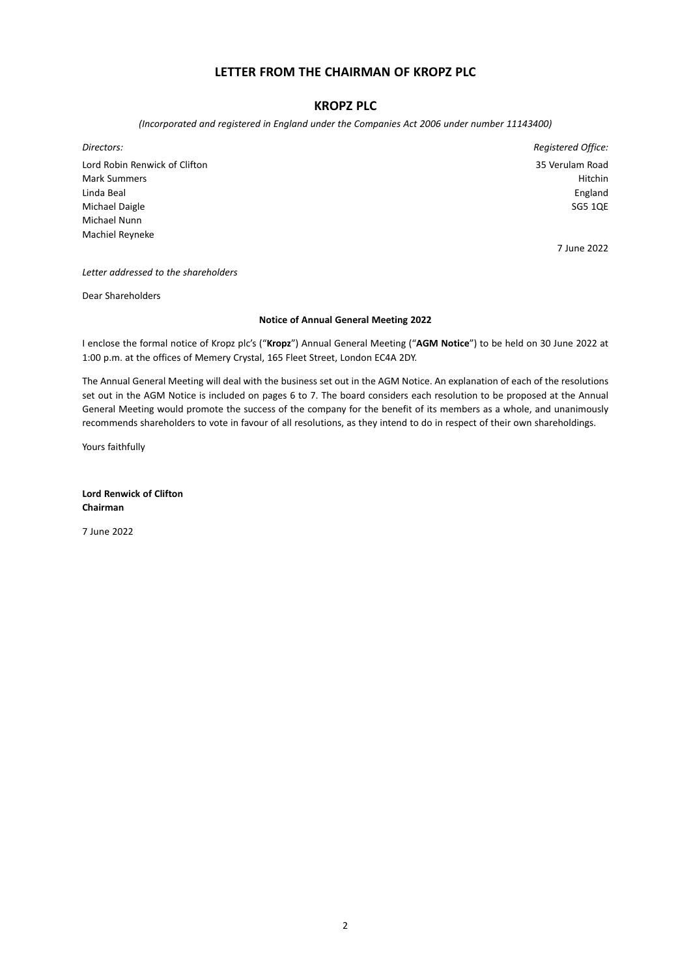# **LETTER FROM THE CHAIRMAN OF KROPZ PLC**

# **KROPZ PLC**

*(Incorporated and registered in England under the Companies Act 2006 under number 11143400)*

*Directors: Registered Office:* Lord Robin Renwick of Clifton 35 Verulam Road Mark Summers **Hitchin** Linda Beal England Michael Daigle SG5 1QE Michael Nunn Machiel Reyneke

7 June 2022

*Letter addressed to the shareholders*

Dear Shareholders

### **Notice of Annual General Meeting 2022**

I enclose the formal notice of Kropz plc's ("**Kropz**") Annual General Meeting ("**AGM Notice**") to be held on 30 June 2022 at 1:00 p.m. at the offices of Memery Crystal, 165 Fleet Street, London EC4A 2DY.

The Annual General Meeting will deal with the business set out in the AGM Notice. An explanation of each of the resolutions set out in the AGM Notice is included on pages 6 to 7. The board considers each resolution to be proposed at the Annual General Meeting would promote the success of the company for the benefit of its members as a whole, and unanimously recommends shareholders to vote in favour of all resolutions, as they intend to do in respect of their own shareholdings.

Yours faithfully

**Lord Renwick of Clifton Chairman**

7 June 2022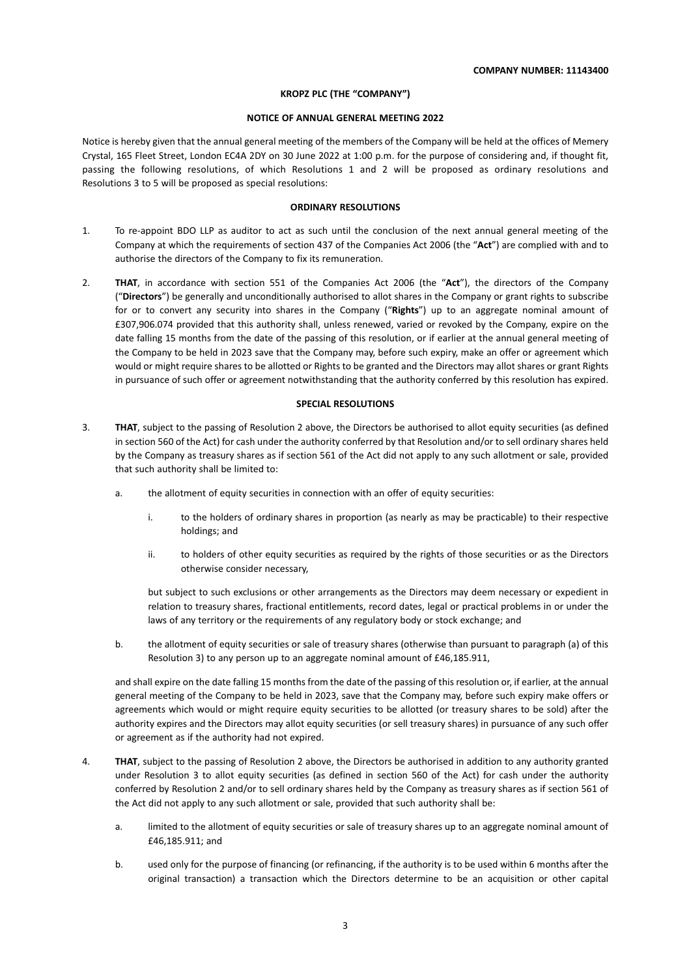### **KROPZ PLC (THE "COMPANY")**

### **NOTICE OF ANNUAL GENERAL MEETING 2022**

Notice is hereby given that the annual general meeting of the members of the Company will be held at the offices of Memery Crystal, 165 Fleet Street, London EC4A 2DY on 30 June 2022 at 1:00 p.m. for the purpose of considering and, if thought fit, passing the following resolutions, of which Resolutions 1 and 2 will be proposed as ordinary resolutions and Resolutions 3 to 5 will be proposed as special resolutions:

### **ORDINARY RESOLUTIONS**

- 1. To re-appoint BDO LLP as auditor to act as such until the conclusion of the next annual general meeting of the Company at which the requirements of section 437 of the Companies Act 2006 (the "**Act**") are complied with and to authorise the directors of the Company to fix its remuneration.
- 2. **THAT**, in accordance with section 551 of the Companies Act 2006 (the "**Act**"), the directors of the Company ("**Directors**") be generally and unconditionally authorised to allot shares in the Company or grant rights to subscribe for or to convert any security into shares in the Company ("**Rights**") up to an aggregate nominal amount of £307,906.074 provided that this authority shall, unless renewed, varied or revoked by the Company, expire on the date falling 15 months from the date of the passing of this resolution, or if earlier at the annual general meeting of the Company to be held in 2023 save that the Company may, before such expiry, make an offer or agreement which would or might require shares to be allotted or Rights to be granted and the Directors may allot shares or grant Rights in pursuance of such offer or agreement notwithstanding that the authority conferred by this resolution has expired.

### **SPECIAL RESOLUTIONS**

- 3. **THAT**, subject to the passing of Resolution 2 above, the Directors be authorised to allot equity securities (as defined in section 560 of the Act) for cash under the authority conferred by that Resolution and/or to sell ordinary shares held by the Company as treasury shares as if section 561 of the Act did not apply to any such allotment or sale, provided that such authority shall be limited to:
	- a. the allotment of equity securities in connection with an offer of equity securities:
		- i. to the holders of ordinary shares in proportion (as nearly as may be practicable) to their respective holdings; and
		- ii. to holders of other equity securities as required by the rights of those securities or as the Directors otherwise consider necessary,

but subject to such exclusions or other arrangements as the Directors may deem necessary or expedient in relation to treasury shares, fractional entitlements, record dates, legal or practical problems in or under the laws of any territory or the requirements of any regulatory body or stock exchange; and

b. the allotment of equity securities or sale of treasury shares (otherwise than pursuant to paragraph (a) of this Resolution 3) to any person up to an aggregate nominal amount of £46,185.911,

and shall expire on the date falling 15 months from the date of the passing of this resolution or, if earlier, at the annual general meeting of the Company to be held in 2023, save that the Company may, before such expiry make offers or agreements which would or might require equity securities to be allotted (or treasury shares to be sold) after the authority expires and the Directors may allot equity securities (or sell treasury shares) in pursuance of any such offer or agreement as if the authority had not expired.

- 4. **THAT**, subject to the passing of Resolution 2 above, the Directors be authorised in addition to any authority granted under Resolution 3 to allot equity securities (as defined in section 560 of the Act) for cash under the authority conferred by Resolution 2 and/or to sell ordinary shares held by the Company as treasury shares as if section 561 of the Act did not apply to any such allotment or sale, provided that such authority shall be:
	- a. limited to the allotment of equity securities or sale of treasury shares up to an aggregate nominal amount of £46,185.911; and
	- b. used only for the purpose of financing (or refinancing, if the authority is to be used within 6 months after the original transaction) a transaction which the Directors determine to be an acquisition or other capital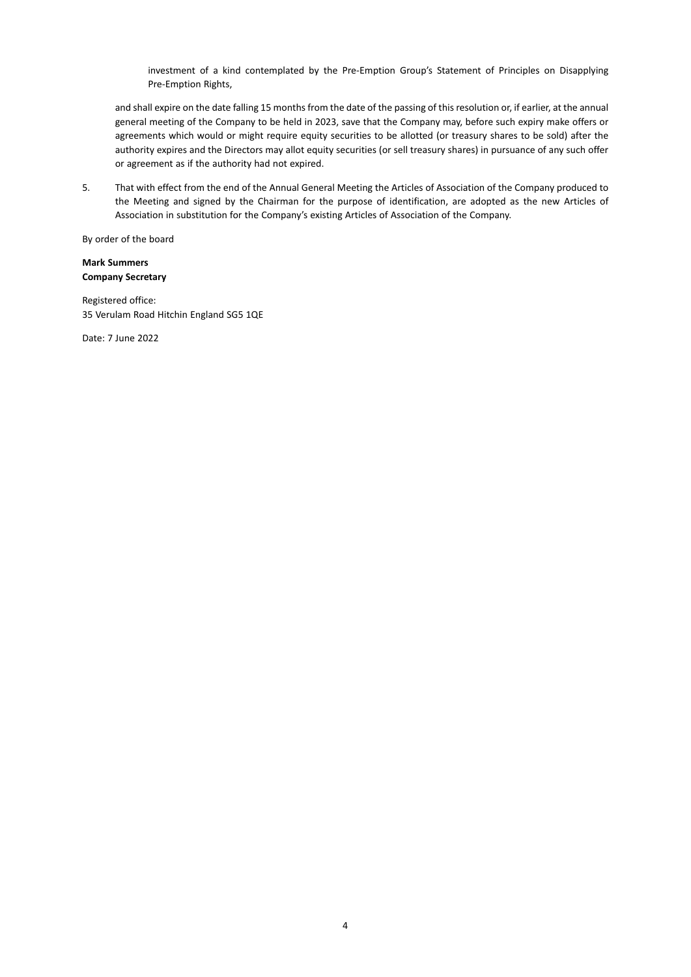investment of a kind contemplated by the Pre-Emption Group's Statement of Principles on Disapplying Pre-Emption Rights,

and shall expire on the date falling 15 months from the date of the passing of this resolution or, if earlier, at the annual general meeting of the Company to be held in 2023, save that the Company may, before such expiry make offers or agreements which would or might require equity securities to be allotted (or treasury shares to be sold) after the authority expires and the Directors may allot equity securities (or sell treasury shares) in pursuance of any such offer or agreement as if the authority had not expired.

5. That with effect from the end of the Annual General Meeting the Articles of Association of the Company produced to the Meeting and signed by the Chairman for the purpose of identification, are adopted as the new Articles of Association in substitution for the Company's existing Articles of Association of the Company.

By order of the board

### **Mark Summers Company Secretary**

Registered office: 35 Verulam Road Hitchin England SG5 1QE

Date: 7 June 2022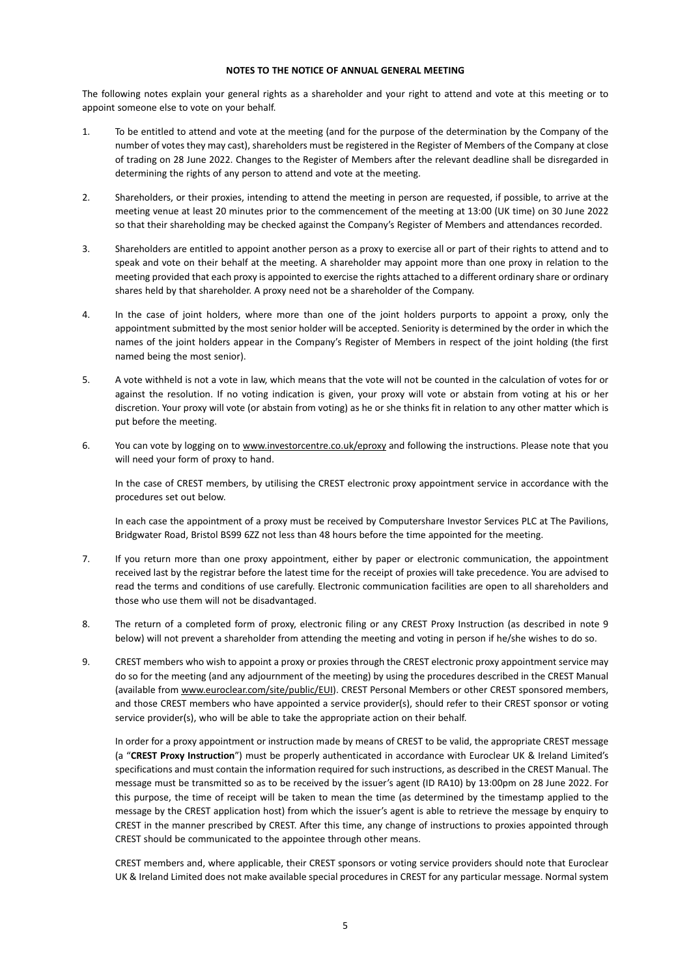### **NOTES TO THE NOTICE OF ANNUAL GENERAL MEETING**

The following notes explain your general rights as a shareholder and your right to attend and vote at this meeting or to appoint someone else to vote on your behalf.

- 1. To be entitled to attend and vote at the meeting (and for the purpose of the determination by the Company of the number of votes they may cast), shareholders must be registered in the Register of Members of the Company at close of trading on 28 June 2022. Changes to the Register of Members after the relevant deadline shall be disregarded in determining the rights of any person to attend and vote at the meeting.
- 2. Shareholders, or their proxies, intending to attend the meeting in person are requested, if possible, to arrive at the meeting venue at least 20 minutes prior to the commencement of the meeting at 13:00 (UK time) on 30 June 2022 so that their shareholding may be checked against the Company's Register of Members and attendances recorded.
- 3. Shareholders are entitled to appoint another person as a proxy to exercise all or part of their rights to attend and to speak and vote on their behalf at the meeting. A shareholder may appoint more than one proxy in relation to the meeting provided that each proxy is appointed to exercise the rights attached to a different ordinary share or ordinary shares held by that shareholder. A proxy need not be a shareholder of the Company.
- 4. In the case of joint holders, where more than one of the joint holders purports to appoint a proxy, only the appointment submitted by the most senior holder will be accepted. Seniority is determined by the order in which the names of the joint holders appear in the Company's Register of Members in respect of the joint holding (the first named being the most senior).
- 5. A vote withheld is not a vote in law, which means that the vote will not be counted in the calculation of votes for or against the resolution. If no voting indication is given, your proxy will vote or abstain from voting at his or her discretion. Your proxy will vote (or abstain from voting) as he or she thinks fit in relation to any other matter which is put before the meeting.
- 6. You can vote by logging on to www.investorcentre.co.uk/eproxy and following the instructions. Please note that you will need your form of proxy to hand.

In the case of CREST members, by utilising the CREST electronic proxy appointment service in accordance with the procedures set out below.

In each case the appointment of a proxy must be received by Computershare Investor Services PLC at The Pavilions, Bridgwater Road, Bristol BS99 6ZZ not less than 48 hours before the time appointed for the meeting.

- 7. If you return more than one proxy appointment, either by paper or electronic communication, the appointment received last by the registrar before the latest time for the receipt of proxies will take precedence. You are advised to read the terms and conditions of use carefully. Electronic communication facilities are open to all shareholders and those who use them will not be disadvantaged.
- 8. The return of a completed form of proxy, electronic filing or any CREST Proxy Instruction (as described in note 9 below) will not prevent a shareholder from attending the meeting and voting in person if he/she wishes to do so.
- 9. CREST members who wish to appoint a proxy or proxies through the CREST electronic proxy appointment service may do so for the meeting (and any adjournment of the meeting) by using the procedures described in the CREST Manual (available from www.euroclear.com/site/public/EUI). CREST Personal Members or other CREST sponsored members, and those CREST members who have appointed a service provider(s), should refer to their CREST sponsor or voting service provider(s), who will be able to take the appropriate action on their behalf.

In order for a proxy appointment or instruction made by means of CREST to be valid, the appropriate CREST message (a "**CREST Proxy Instruction**") must be properly authenticated in accordance with Euroclear UK & Ireland Limited's specifications and must contain the information required for such instructions, as described in the CREST Manual. The message must be transmitted so as to be received by the issuer's agent (ID RA10) by 13:00pm on 28 June 2022. For this purpose, the time of receipt will be taken to mean the time (as determined by the timestamp applied to the message by the CREST application host) from which the issuer's agent is able to retrieve the message by enquiry to CREST in the manner prescribed by CREST. After this time, any change of instructions to proxies appointed through CREST should be communicated to the appointee through other means.

CREST members and, where applicable, their CREST sponsors or voting service providers should note that Euroclear UK & Ireland Limited does not make available special procedures in CREST for any particular message. Normal system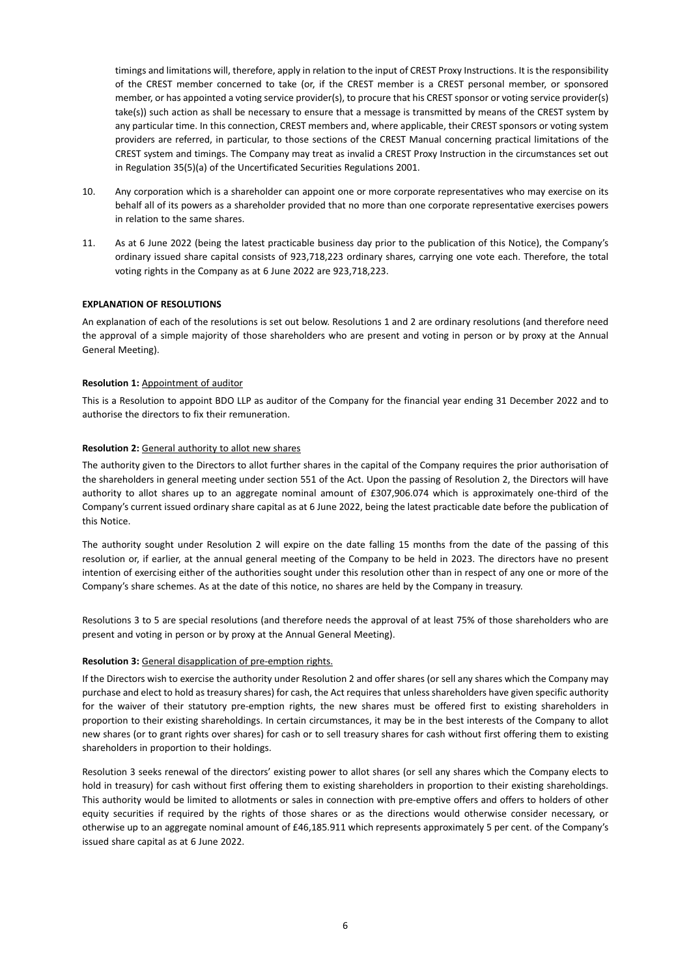timings and limitations will, therefore, apply in relation to the input of CREST Proxy Instructions. It is the responsibility of the CREST member concerned to take (or, if the CREST member is a CREST personal member, or sponsored member, or has appointed a voting service provider(s), to procure that his CREST sponsor or voting service provider(s) take(s)) such action as shall be necessary to ensure that a message is transmitted by means of the CREST system by any particular time. In this connection, CREST members and, where applicable, their CREST sponsors or voting system providers are referred, in particular, to those sections of the CREST Manual concerning practical limitations of the CREST system and timings. The Company may treat as invalid a CREST Proxy Instruction in the circumstances set out in Regulation 35(5)(a) of the Uncertificated Securities Regulations 2001.

- 10. Any corporation which is a shareholder can appoint one or more corporate representatives who may exercise on its behalf all of its powers as a shareholder provided that no more than one corporate representative exercises powers in relation to the same shares.
- 11. As at 6 June 2022 (being the latest practicable business day prior to the publication of this Notice), the Company's ordinary issued share capital consists of 923,718,223 ordinary shares, carrying one vote each. Therefore, the total voting rights in the Company as at 6 June 2022 are 923,718,223.

### **EXPLANATION OF RESOLUTIONS**

An explanation of each of the resolutions is set out below. Resolutions 1 and 2 are ordinary resolutions (and therefore need the approval of a simple majority of those shareholders who are present and voting in person or by proxy at the Annual General Meeting).

### **Resolution 1:** Appointment of auditor

This is a Resolution to appoint BDO LLP as auditor of the Company for the financial year ending 31 December 2022 and to authorise the directors to fix their remuneration.

### **Resolution 2:** General authority to allot new shares

The authority given to the Directors to allot further shares in the capital of the Company requires the prior authorisation of the shareholders in general meeting under section 551 of the Act. Upon the passing of Resolution 2, the Directors will have authority to allot shares up to an aggregate nominal amount of £307,906.074 which is approximately one-third of the Company's current issued ordinary share capital as at 6 June 2022, being the latest practicable date before the publication of this Notice.

The authority sought under Resolution 2 will expire on the date falling 15 months from the date of the passing of this resolution or, if earlier, at the annual general meeting of the Company to be held in 2023. The directors have no present intention of exercising either of the authorities sought under this resolution other than in respect of any one or more of the Company's share schemes. As at the date of this notice, no shares are held by the Company in treasury.

Resolutions 3 to 5 are special resolutions (and therefore needs the approval of at least 75% of those shareholders who are present and voting in person or by proxy at the Annual General Meeting).

#### **Resolution 3:** General disapplication of pre-emption rights.

If the Directors wish to exercise the authority under Resolution 2 and offer shares (or sell any shares which the Company may purchase and elect to hold as treasury shares) for cash, the Act requires that unless shareholders have given specific authority for the waiver of their statutory pre-emption rights, the new shares must be offered first to existing shareholders in proportion to their existing shareholdings. In certain circumstances, it may be in the best interests of the Company to allot new shares (or to grant rights over shares) for cash or to sell treasury shares for cash without first offering them to existing shareholders in proportion to their holdings.

Resolution 3 seeks renewal of the directors' existing power to allot shares (or sell any shares which the Company elects to hold in treasury) for cash without first offering them to existing shareholders in proportion to their existing shareholdings. This authority would be limited to allotments or sales in connection with pre-emptive offers and offers to holders of other equity securities if required by the rights of those shares or as the directions would otherwise consider necessary, or otherwise up to an aggregate nominal amount of £46,185.911 which represents approximately 5 per cent. of the Company's issued share capital as at 6 June 2022.